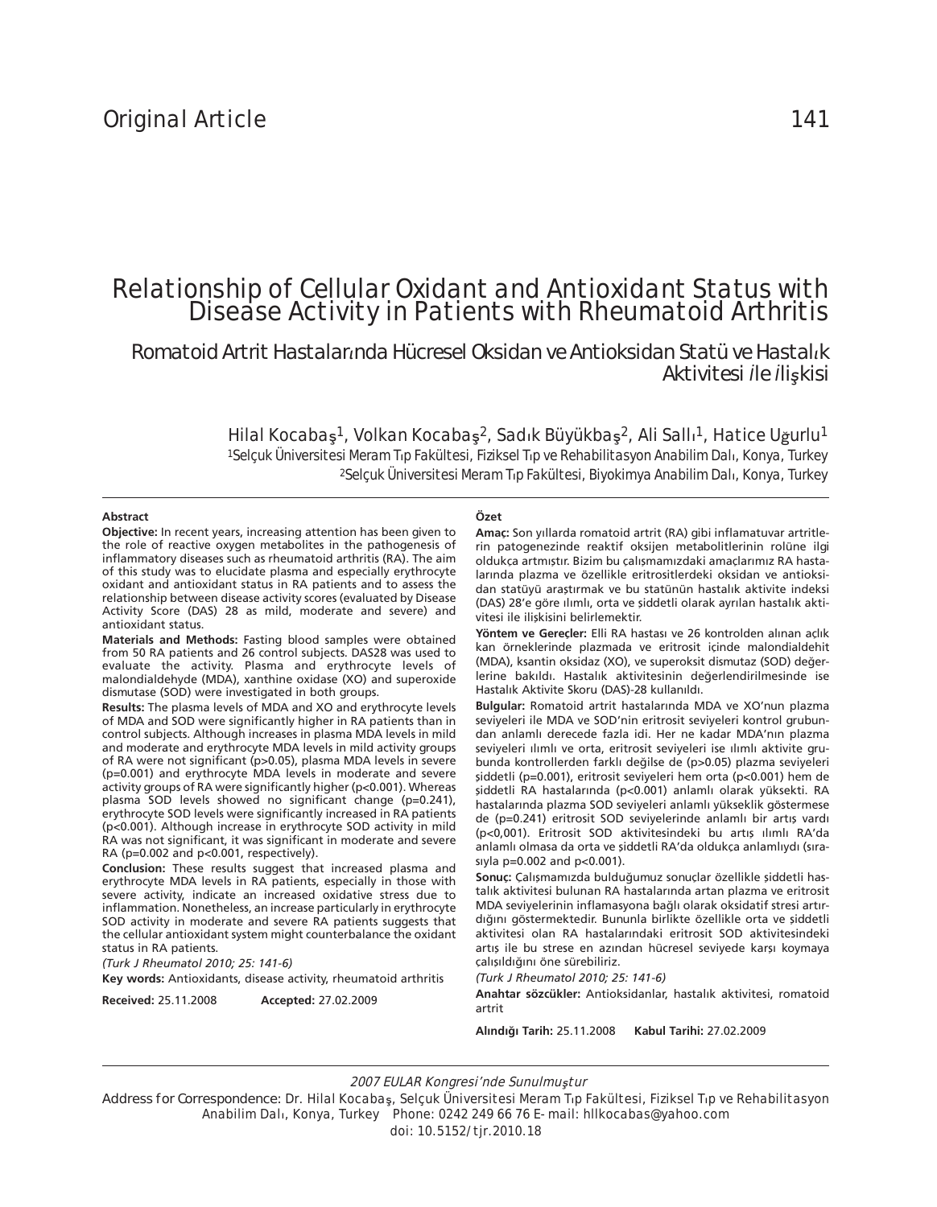# Relationship of Cellular Oxidant and Antioxidant Status with Disease Activity in Patients with Rheumatoid Arthritis

*Romatoid Artrit Hastalar×nda Hücresel Oksidan ve Antioksidan Statü ve Hastal×k Aktivitesi ąle ąliăkisi* 

> Hilal Kocabaş<sup>1</sup>, Volkan Kocabaş<sup>2</sup>, Sadık Büyükbaş<sup>2</sup>, Ali Sallı<sup>1</sup>, Hatice Uğurlu<sup>1</sup> 1Selçuk Üniversitesi Meram Tıp Fakültesi, Fiziksel Tıp ve Rehabilitasyon Anabilim Dalı, Konya, Turkey 2Selçuk Üniversitesi Meram T×p Fakültesi, Biyokimya Anabilim Dal×, Konya, Turkey

#### **Abst ract**

#### **Özet**

**Objective:** In recent years, increasing attention has been given to the role of reactive oxygen metabolites in the pathogenesis of inflammatory diseases such as rheumatoid arthritis (RA). The aim of this study was to elucidate plasma and especially erythrocyte oxidant and antioxidant status in RA patients and to assess the relationship between disease activity scores (evaluated by Disease Activity Score (DAS) 28 as mild, moderate and severe) and antioxidant status.

**Materials and Methods:** Fasting blood samples were obtained from 50 RA patients and 26 control subjects. DAS28 was used to evaluate the activity. Plasma and erythrocyte levels of malondialdehyde (MDA), xanthine oxidase (XO) and superoxide dismutase (SOD) were investigated in both groups.

**Results:** The plasma levels of MDA and XO and erythrocyte levels of MDA and SOD were significantly higher in RA patients than in control subjects. Although increases in plasma MDA levels in mild and moderate and erythrocyte MDA levels in mild activity groups of RA were not significant (p>0.05), plasma MDA levels in severe (p=0.001) and erythrocyte MDA levels in moderate and severe activity groups of RA were significantly higher (p<0.001). Whereas plasma SOD levels showed no significant change (p=0.241), erythrocyte SOD levels were significantly increased in RA patients (p<0.001). Although increase in erythrocyte SOD activity in mild RA was not significant, it was significant in moderate and severe RA (p=0.002 and p<0.001, respectively).

**Conclusion:** These results suggest that increased plasma and erythrocyte MDA levels in RA patients, especially in those with severe activity, indicate an increased oxidative stress due to inflammation. Nonetheless, an increase particularly in erythrocyte SOD activity in moderate and severe RA patients suggests that the cellular antioxidant system might counterbalance the oxidant status in RA patients.

*(Turk J Rheumatol 2010; 25: 141-6)* **Key words:** Antioxidants, disease activity, rheumatoid arthritis

**Received:** 25.11.2008 **Accepted:** 27.02.2009

**Amaç:** Son yıllarda romatoid artrit (RA) gibi inflamatuvar artritlerin patogenezinde reaktif oksijen metabolitlerinin rolüne ilgi oldukça artmıştır. Bizim bu çalışmamızdaki amaçlarımız RA hastalarında plazma ve özellikle eritrositlerdeki oksidan ve antioksidan statüyü araştırmak ve bu statünün hastalık aktivite indeksi (DAS) 28'e göre ılımlı, orta ve şiddetli olarak ayrılan hastalık aktivitesi ile ilişkisini belirlemektir.

**Yöntem ve Gereçler:** Elli RA hastası ve 26 kontrolden alınan açlık kan örneklerinde plazmada ve eritrosit içinde malondialdehit (MDA), ksantin oksidaz (XO), ve superoksit dismutaz (SOD) değerlerine bakıldı. Hastalık aktivitesinin değerlendirilmesinde ise Hastalık Aktivite Skoru (DAS)-28 kullanıldı.

**Bulgular:** Romatoid artrit hastalarında MDA ve XO'nun plazma seviyeleri ile MDA ve SOD'nin eritrosit seviyeleri kontrol grubundan anlamlı derecede fazla idi. Her ne kadar MDA'nın plazma seviyeleri ılımlı ve orta, eritrosit seviyeleri ise ılımlı aktivite grubunda kontrollerden farklı değilse de (p>0.05) plazma seviyeleri şiddetli (p=0.001), eritrosit seviyeleri hem orta (p<0.001) hem de şiddetli RA hastalarında (p<0.001) anlamlı olarak yüksekti. RA hastalarında plazma SOD seviyeleri anlamlı yükseklik göstermese de (p=0.241) eritrosit SOD seviyelerinde anlamlı bir artış vardı (p<0,001). Eritrosit SOD aktivitesindeki bu artış ılımlı RA'da anlamlı olmasa da orta ve şiddetli RA'da oldukça anlamlıydı (sırasıyla p=0.002 and p<0.001).

**Sonuç:** Çalışmamızda bulduğumuz sonuçlar özellikle şiddetli hastalık aktivitesi bulunan RA hastalarında artan plazma ve eritrosit MDA seviyelerinin inflamasyona bağlı olarak oksidatif stresi artırdığını göstermektedir. Bununla birlikte özellikle orta ve şiddetli aktivitesi olan RA hastalarındaki eritrosit SOD aktivitesindeki artış ile bu strese en azından hücresel seviyede karşı koymaya çalışıldığını öne sürebiliriz.

*(Turk J Rheumatol 2010; 25: 141-6)*

**Anah tar sözcükler:** Antioksidanlar, hastalık aktivitesi, romatoid artrit

**Al›nd›¤› Tarih:** 25.11.2008 **Kabul Tarihi:** 27.02.2009

2007 EULAR Kongresi'nde Sunulmuştur

Address for Correspondence: Dr. Hilal Kocaba<sub>s</sub>, Selcuk Üniversitesi Meram T<sub>I</sub>p Fakültesi, Fiziksel T<sub>I</sub>p ve Rehabilitasyon Anabilim Dalı, Konya, Turkey Phone: 0242 249 66 76 E-mail: hllkocabas@yahoo.com doi: 10.5152/tjr.2010.18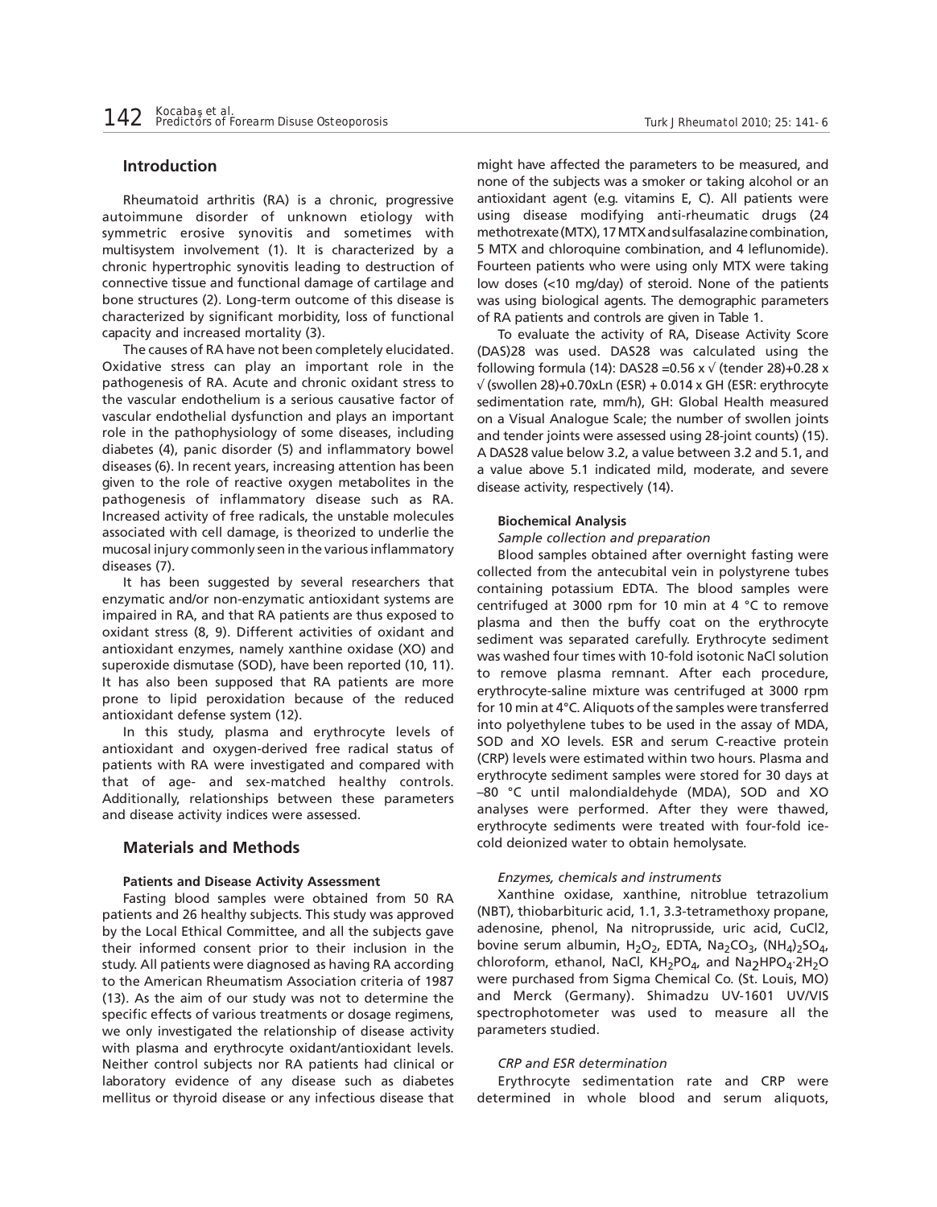# **Introduction**

Rheumatoid arthritis (RA) is a chronic, progressive autoimmune disorder of unknown etiology with symmetric erosive synovitis and sometimes with multisystem involvement (1). It is characterized by a chronic hypertrophic synovitis leading to destruction of connective tissue and functional damage of cartilage and bone structures (2). Long-term outcome of this disease is characterized by significant morbidity, loss of functional capacity and increased mortality (3).

The causes of RA have not been completely elucidated. Oxidative stress can play an important role in the pathogenesis of RA. Acute and chronic oxidant stress to the vascular endothelium is a serious causative factor of vascular endothelial dysfunction and plays an important role in the pathophysiology of some diseases, including diabetes (4), panic disorder (5) and inflammatory bowel diseases (6). In recent years, increasing attention has been given to the role of reactive oxygen metabolites in the pathogenesis of inflammatory disease such as RA. Increased activity of free radicals, the unstable molecules associated with cell damage, is theorized to underlie the mucosal injury commonly seen in the various inflammatory diseases (7).

It has been suggested by several researchers that enzymatic and/or non-enzymatic antioxidant systems are impaired in RA, and that RA patients are thus exposed to oxidant stress (8, 9). Different activities of oxidant and antioxidant enzymes, namely xanthine oxidase (XO) and superoxide dismutase (SOD), have been reported (10, 11). It has also been supposed that RA patients are more prone to lipid peroxidation because of the reduced antioxidant defense system (12).

In this study, plasma and erythrocyte levels of antioxidant and oxygen-derived free radical status of patients with RA were investigated and compared with that of age- and sex-matched healthy controls. Additionally, relationships between these parameters and disease activity indices were assessed.

# **Materials and Methods**

#### **Patients and Disease Activity Assessment**

Fasting blood samples were obtained from 50 RA patients and 26 healthy subjects. This study was approved by the Local Ethical Committee, and all the subjects gave their informed consent prior to their inclusion in the study. All patients were diagnosed as having RA according to the American Rheumatism Association criteria of 1987 (13). As the aim of our study was not to determine the specific effects of various treatments or dosage regimens, we only investigated the relationship of disease activity with plasma and erythrocyte oxidant/antioxidant levels. Neither control subjects nor RA patients had clinical or laboratory evidence of any disease such as diabetes mellitus or thyroid disease or any infectious disease that

might have affected the parameters to be measured, and none of the subjects was a smoker or taking alcohol or an antioxidant agent (e.g. vitamins E, C). All patients were using disease modifying anti-rheumatic drugs (24 methotrexate (MTX), 17 MTX and sulfasalazine combination, 5 MTX and chloroquine combination, and 4 leflunomide). Fourteen patients who were using only MTX were taking low doses (<10 mg/day) of steroid. None of the patients was using biological agents. The demographic parameters of RA patients and controls are given in Table 1.

To evaluate the activity of RA, Disease Activity Score (DAS)28 was used. DAS28 was calculated using the following formula (14): DAS28 =  $0.56 \times \sqrt{(t}$ ender 28)+0.28 x  $\sqrt{(s}$  (swollen 28)+0.70xLn (ESR) + 0.014 x GH (ESR: erythrocyte sedimentation rate, mm/h), GH: Global Health measured on a Visual Analogue Scale; the number of swollen joints and tender joints were assessed using 28-joint counts) (15). A DAS28 value below 3.2, a value between 3.2 and 5.1, and a value above 5.1 indicated mild, moderate, and severe disease activity, respectively (14).

#### **Biochemical Analysis**

*Sample collection and preparation*

Blood samples obtained after overnight fasting were collected from the antecubital vein in polystyrene tubes containing potassium EDTA. The blood samples were centrifuged at 3000 rpm for 10 min at 4 °C to remove plasma and then the buffy coat on the erythrocyte sediment was separated carefully. Erythrocyte sediment was washed four times with 10-fold isotonic NaCl solution to remove plasma remnant. After each procedure, erythrocyte-saline mixture was centrifuged at 3000 rpm for 10 min at 4°C. Aliquots of the samples were transferred into polyethylene tubes to be used in the assay of MDA, SOD and XO levels. ESR and serum C-reactive protein (CRP) levels were estimated within two hours. Plasma and erythrocyte sediment samples were stored for 30 days at –80 °C until malondialdehyde (MDA), SOD and XO analyses were performed. After they were thawed, erythrocyte sediments were treated with four-fold icecold deionized water to obtain hemolysate.

## *Enzymes, chemicals and instruments*

Xanthine oxidase, xanthine, nitroblue tetrazolium (NBT), thiobarbituric acid, 1.1, 3.3-tetramethoxy propane, adenosine, phenol, Na nitroprusside, uric acid, CuCl2, bovine serum albumin,  $H_2O_2$ , EDTA, Na<sub>2</sub>CO<sub>3</sub>, (NH<sub>4</sub>)<sub>2</sub>SO<sub>4</sub>, chloroform, ethanol, NaCl,  $KH_2PO_4$ , and Na<sub>2</sub>HPO<sub>4</sub>.2H<sub>2</sub>O were purchased from Sigma Chemical Co. (St. Louis, MO) and Merck (Germany). Shimadzu UV-1601 UV/VIS spectrophotometer was used to measure all the parameters studied.

#### *CRP and ESR determination*

Erythrocyte sedimentation rate and CRP were determined in whole blood and serum aliquots,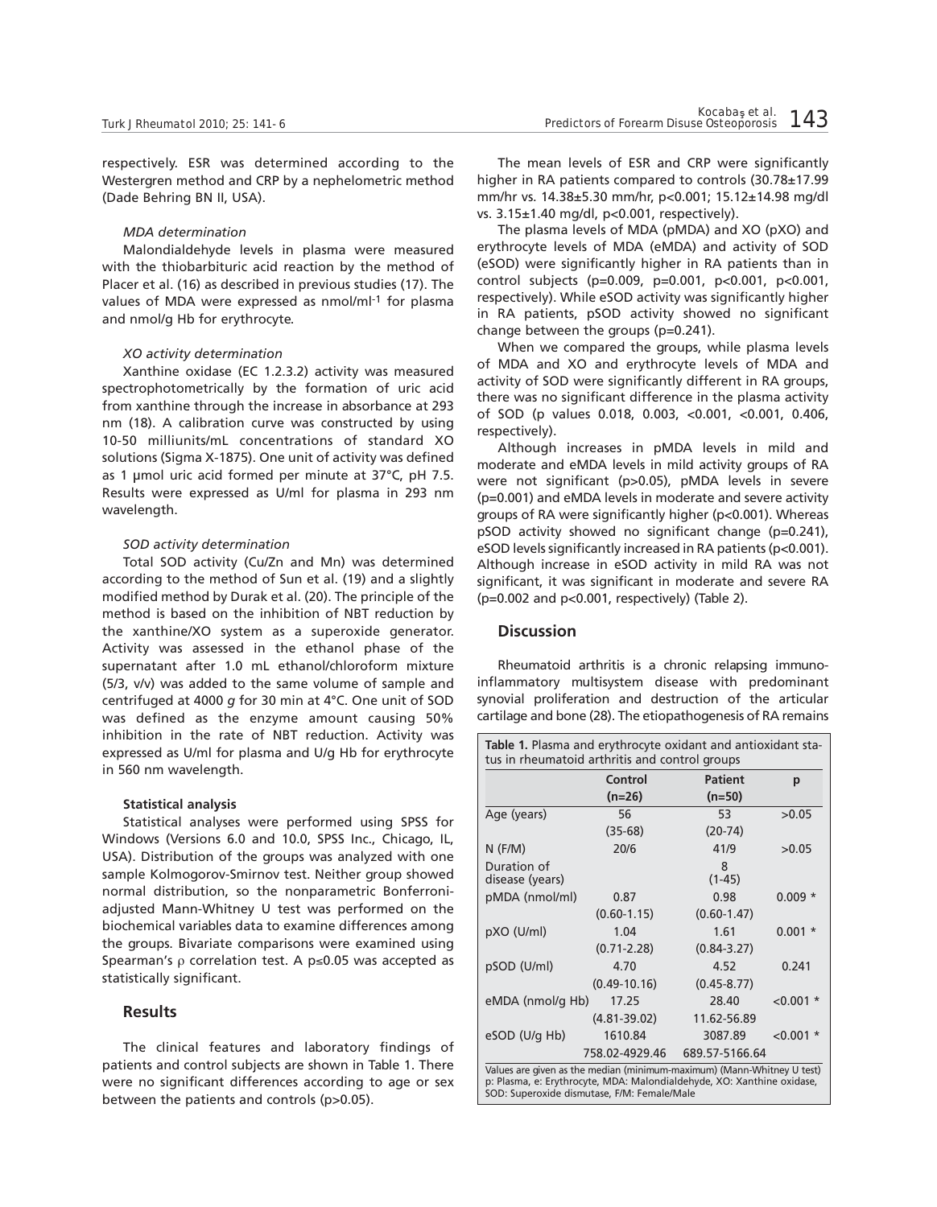respectively. ESR was determined according to the Westergren method and CRP by a nephelometric method (Dade Behring BN II, USA).

#### *MDA determination*

Malondialdehyde levels in plasma were measured with the thiobarbituric acid reaction by the method of Placer et al. (16) as described in previous studies (17). The values of MDA were expressed as nmol/ml-1 for plasma and nmol/g Hb for erythrocyte.

#### *XO activity determination*

Xanthine oxidase (EC 1.2.3.2) activity was measured spectrophotometrically by the formation of uric acid from xanthine through the increase in absorbance at 293 nm (18). A calibration curve was constructed by using 10-50 milliunits/mL concentrations of standard XO solutions (Sigma X-1875). One unit of activity was defined as 1 μmol uric acid formed per minute at 37°C, pH 7.5. Results were expressed as U/ml for plasma in 293 nm wavelength.

#### *SOD activity determination*

Total SOD activity (Cu/Zn and Mn) was determined according to the method of Sun et al. (19) and a slightly modified method by Durak et al. (20). The principle of the method is based on the inhibition of NBT reduction by the xanthine/XO system as a superoxide generator. Activity was assessed in the ethanol phase of the supernatant after 1.0 mL ethanol/chloroform mixture (5/3, v/v) was added to the same volume of sample and centrifuged at 4000 *g* for 30 min at 4°C. One unit of SOD was defined as the enzyme amount causing 50% inhibition in the rate of NBT reduction. Activity was expressed as U/ml for plasma and U/g Hb for erythrocyte in 560 nm wavelength.

#### **Statistical analysis**

Statistical analyses were performed using SPSS for Windows (Versions 6.0 and 10.0, SPSS Inc., Chicago, IL, USA). Distribution of the groups was analyzed with one sample Kolmogorov-Smirnov test. Neither group showed normal distribution, so the nonparametric Bonferroniadjusted Mann-Whitney U test was performed on the biochemical variables data to examine differences among the groups. Bivariate comparisons were examined using Spearman's  $\rho$  correlation test. A p $\leq$ 0.05 was accepted as statistically significant.

# **Results**

The clinical features and laboratory findings of patients and control subjects are shown in Table 1. There were no significant differences according to age or sex between the patients and controls (p>0.05).

The mean levels of ESR and CRP were significantly higher in RA patients compared to controls (30.78±17.99 mm/hr vs. 14.38±5.30 mm/hr, p<0.001; 15.12±14.98 mg/dl vs. 3.15±1.40 mg/dl, p<0.001, respectively).

The plasma levels of MDA (pMDA) and XO (pXO) and erythrocyte levels of MDA (eMDA) and activity of SOD (eSOD) were significantly higher in RA patients than in control subjects (p=0.009, p=0.001, p<0.001, p<0.001, respectively). While eSOD activity was significantly higher in RA patients, pSOD activity showed no significant change between the groups (p=0.241).

When we compared the groups, while plasma levels of MDA and XO and erythrocyte levels of MDA and activity of SOD were significantly different in RA groups, there was no significant difference in the plasma activity of SOD (p values 0.018, 0.003, <0.001, <0.001, 0.406, respectively).

Although increases in pMDA levels in mild and moderate and eMDA levels in mild activity groups of RA were not significant (p>0.05), pMDA levels in severe (p=0.001) and eMDA levels in moderate and severe activity groups of RA were significantly higher (p<0.001). Whereas pSOD activity showed no significant change (p=0.241), eSOD levels significantly increased in RA patients (p<0.001). Although increase in eSOD activity in mild RA was not significant, it was significant in moderate and severe RA (p=0.002 and p<0.001, respectively) (Table 2).

# **Discussion**

Rheumatoid arthritis is a chronic relapsing immunoinflammatory multisystem disease with predominant synovial proliferation and destruction of the articular cartilage and bone (28). The etiopathogenesis of RA remains

|                                | Control          | <b>Patient</b>  | p           |  |
|--------------------------------|------------------|-----------------|-------------|--|
|                                | $(n=26)$         | $(n=50)$        |             |  |
| Age (years)                    | 56               | 53              | >0.05       |  |
|                                | $(35-68)$        | $(20-74)$       |             |  |
| $N$ (F/M)                      | 20/6             | 41/9            | >0.05       |  |
| Duration of<br>disease (years) |                  | 8<br>$(1-45)$   |             |  |
| pMDA (nmol/ml)                 | 0.87             | 0.98            | $0.009*$    |  |
|                                | $(0.60 - 1.15)$  | $(0.60 - 1.47)$ |             |  |
| pXO (U/ml)                     | 1.04             | 1.61            | $0.001*$    |  |
|                                | $(0.71 - 2.28)$  | $(0.84 - 3.27)$ |             |  |
| pSOD (U/ml)                    | 4.70             | 4.52            | 0.241       |  |
|                                | $(0.49 - 10.16)$ | $(0.45 - 8.77)$ |             |  |
| eMDA (nmol/g Hb)               | 17.25            | 28.40           | $< 0.001$ * |  |
|                                | $(4.81 - 39.02)$ | 11.62-56.89     |             |  |
| eSOD (U/g Hb)                  | 1610.84          | 3087.89         | $< 0.001$ * |  |
|                                | 758.02-4929.46   | 689.57-5166.64  |             |  |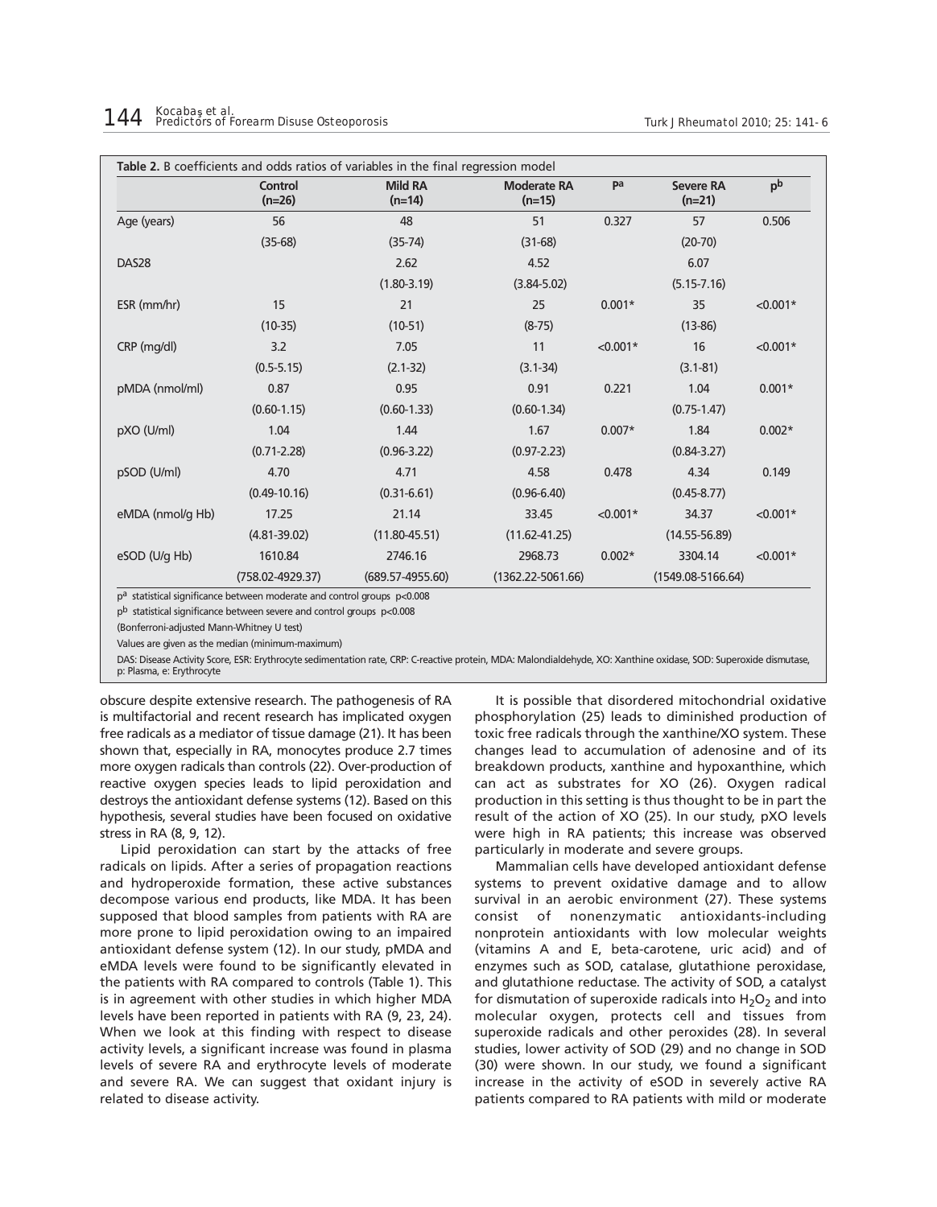|                   | <b>Control</b><br>$(n=26)$ | <b>Mild RA</b><br>$(n=14)$ | <b>Moderate RA</b><br>$(n=15)$ | pa         | <b>Severe RA</b><br>$(n=21)$ | pb         |
|-------------------|----------------------------|----------------------------|--------------------------------|------------|------------------------------|------------|
| Age (years)       | 56                         | 48                         | 51                             | 0.327      | 57                           | 0.506      |
|                   | $(35-68)$                  | $(35-74)$                  | $(31-68)$                      |            | $(20-70)$                    |            |
| DAS <sub>28</sub> |                            | 2.62                       | 4.52                           |            | 6.07                         |            |
|                   |                            | $(1.80 - 3.19)$            | $(3.84 - 5.02)$                |            | $(5.15 - 7.16)$              |            |
| ESR (mm/hr)       | 15                         | 21                         | 25                             | $0.001*$   | 35                           | $< 0.001*$ |
|                   | $(10-35)$                  | $(10-51)$                  | $(8-75)$                       |            | $(13-86)$                    |            |
| CRP (mg/dl)       | 3.2                        | 7.05                       | 11                             | $< 0.001*$ | 16                           | $< 0.001*$ |
|                   | $(0.5 - 5.15)$             | $(2.1 - 32)$               | $(3.1 - 34)$                   |            | $(3.1 - 81)$                 |            |
| pMDA (nmol/ml)    | 0.87                       | 0.95                       | 0.91                           | 0.221      | 1.04                         | $0.001*$   |
|                   | $(0.60 - 1.15)$            | $(0.60 - 1.33)$            | $(0.60 - 1.34)$                |            | $(0.75 - 1.47)$              |            |
| pXO (U/ml)        | 1.04                       | 1.44                       | 1.67                           | $0.007*$   | 1.84                         | $0.002*$   |
|                   | $(0.71 - 2.28)$            | $(0.96 - 3.22)$            | $(0.97 - 2.23)$                |            | $(0.84 - 3.27)$              |            |
| pSOD (U/ml)       | 4.70                       | 4.71                       | 4.58                           | 0.478      | 4.34                         | 0.149      |
|                   | $(0.49 - 10.16)$           | $(0.31 - 6.61)$            | $(0.96 - 6.40)$                |            | $(0.45 - 8.77)$              |            |
| eMDA (nmol/g Hb)  | 17.25                      | 21.14                      | 33.45                          | $< 0.001*$ | 34.37                        | $< 0.001*$ |
|                   | $(4.81 - 39.02)$           | $(11.80 - 45.51)$          | $(11.62 - 41.25)$              |            | $(14.55 - 56.89)$            |            |
| eSOD (U/g Hb)     | 1610.84                    | 2746.16                    | 2968.73                        | $0.002*$   | 3304.14                      | $< 0.001*$ |
|                   | $(758.02 - 4929.37)$       | $(689.57 - 4955.60)$       | $(1362.22 - 5061.66)$          |            | $(1549.08 - 5166.64)$        |            |

pb statistical significance between severe and control groups p<0.008

(Bonferroni-adjusted Mann-Whitney U test)

Values are given as the median (minimum-maximum)

DAS: Disease Activity Score, ESR: Erythrocyte sedimentation rate, CRP: C-reactive protein, MDA: Malondialdehyde, XO: Xanthine oxidase, SOD: Superoxide dismutase, p: Plasma, e: Erythrocyte

obscure despite extensive research. The pathogenesis of RA is multifactorial and recent research has implicated oxygen free radicals as a mediator of tissue damage (21). It has been shown that, especially in RA, monocytes produce 2.7 times more oxygen radicals than controls (22). Over-production of reactive oxygen species leads to lipid peroxidation and destroys the antioxidant defense systems (12). Based on this hypothesis, several studies have been focused on oxidative stress in RA (8, 9, 12).

Lipid peroxidation can start by the attacks of free radicals on lipids. After a series of propagation reactions and hydroperoxide formation, these active substances decompose various end products, like MDA. It has been supposed that blood samples from patients with RA are more prone to lipid peroxidation owing to an impaired antioxidant defense system (12). In our study, pMDA and eMDA levels were found to be significantly elevated in the patients with RA compared to controls (Table 1). This is in agreement with other studies in which higher MDA levels have been reported in patients with RA (9, 23, 24). When we look at this finding with respect to disease activity levels, a significant increase was found in plasma levels of severe RA and erythrocyte levels of moderate and severe RA. We can suggest that oxidant injury is related to disease activity.

It is possible that disordered mitochondrial oxidative phosphorylation (25) leads to diminished production of toxic free radicals through the xanthine/XO system. These changes lead to accumulation of adenosine and of its breakdown products, xanthine and hypoxanthine, which can act as substrates for XO (26). Oxygen radical production in this setting is thus thought to be in part the result of the action of XO (25). In our study, pXO levels were high in RA patients; this increase was observed particularly in moderate and severe groups.

Mammalian cells have developed antioxidant defense systems to prevent oxidative damage and to allow survival in an aerobic environment (27). These systems consist of nonenzymatic antioxidants-including nonprotein antioxidants with low molecular weights (vitamins A and E, beta-carotene, uric acid) and of enzymes such as SOD, catalase, glutathione peroxidase, and glutathione reductase. The activity of SOD, a catalyst for dismutation of superoxide radicals into  $H_2O_2$  and into molecular oxygen, protects cell and tissues from superoxide radicals and other peroxides (28). In several studies, lower activity of SOD (29) and no change in SOD (30) were shown. In our study, we found a significant increase in the activity of eSOD in severely active RA patients compared to RA patients with mild or moderate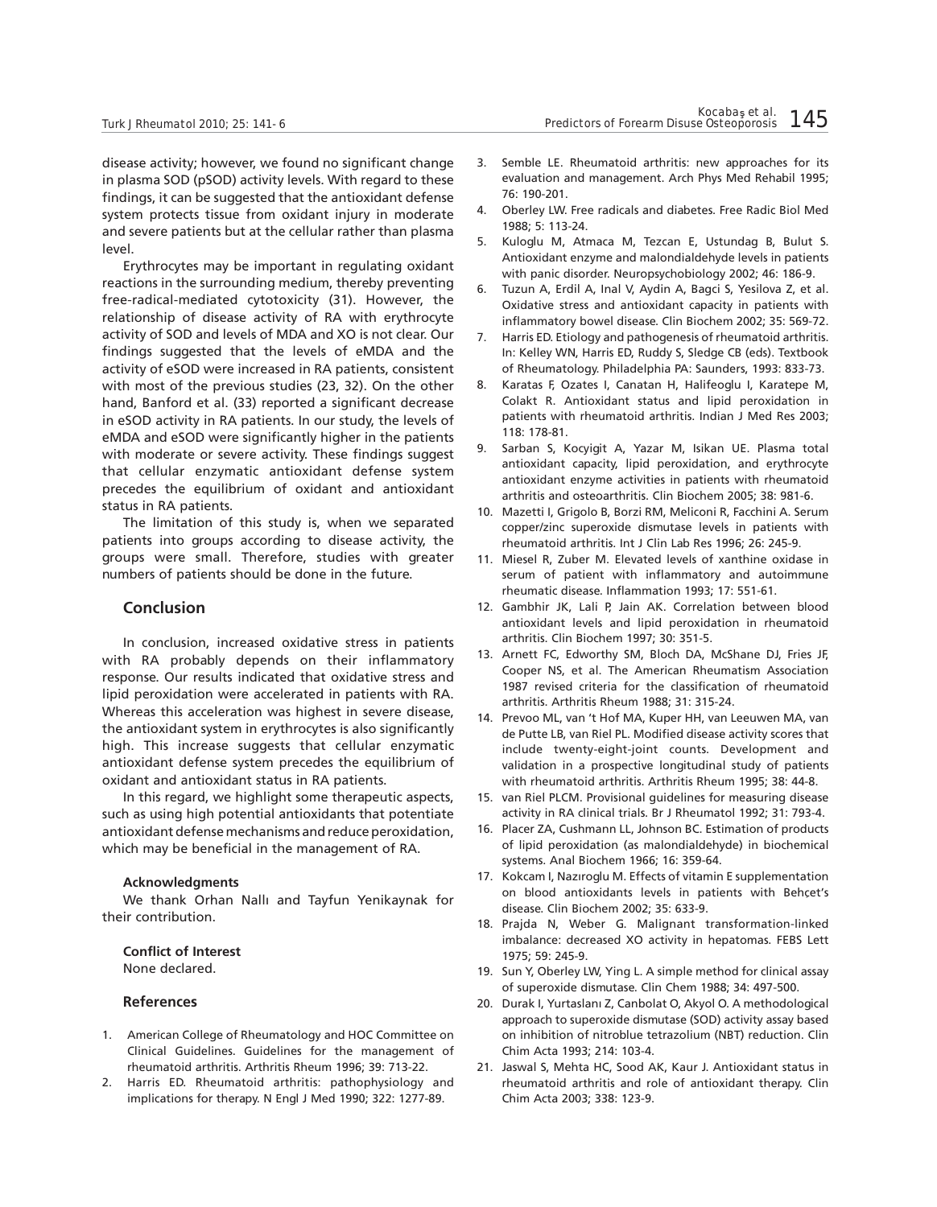disease activity; however, we found no significant change in plasma SOD (pSOD) activity levels. With regard to these findings, it can be suggested that the antioxidant defense system protects tissue from oxidant injury in moderate and severe patients but at the cellular rather than plasma level.

Erythrocytes may be important in regulating oxidant reactions in the surrounding medium, thereby preventing free-radical-mediated cytotoxicity (31). However, the relationship of disease activity of RA with erythrocyte activity of SOD and levels of MDA and XO is not clear. Our findings suggested that the levels of eMDA and the activity of eSOD were increased in RA patients, consistent with most of the previous studies (23, 32). On the other hand, Banford et al. (33) reported a significant decrease in eSOD activity in RA patients. In our study, the levels of eMDA and eSOD were significantly higher in the patients with moderate or severe activity. These findings suggest that cellular enzymatic antioxidant defense system precedes the equilibrium of oxidant and antioxidant status in RA patients.

The limitation of this study is, when we separated patients into groups according to disease activity, the groups were small. Therefore, studies with greater numbers of patients should be done in the future.

# **Conclusion**

In conclusion, increased oxidative stress in patients with RA probably depends on their inflammatory response. Our results indicated that oxidative stress and lipid peroxidation were accelerated in patients with RA. Whereas this acceleration was highest in severe disease, the antioxidant system in erythrocytes is also significantly high. This increase suggests that cellular enzymatic antioxidant defense system precedes the equilibrium of oxidant and antioxidant status in RA patients.

In this regard, we highlight some therapeutic aspects, such as using high potential antioxidants that potentiate antioxidant defense mechanisms and reduce peroxidation, which may be beneficial in the management of RA.

#### **Acknowledgments**

We thank Orhan Nallı and Tayfun Yenikaynak for their contribution.

# **Conflict of Interest**

None declared.

# **References**

- 1. American College of Rheumatology and HOC Committee on Clinical Guidelines. Guidelines for the management of rheumatoid arthritis. Arthritis Rheum 1996; 39: 713-22.
- 2. Harris ED. Rheumatoid arthritis: pathophysiology and implications for therapy. N Engl J Med 1990; 322: 1277-89.
- 3. Semble LE. Rheumatoid arthritis: new approaches for its evaluation and management. Arch Phys Med Rehabil 1995; 76: 190-201.
- 4. Oberley LW. Free radicals and diabetes. Free Radic Biol Med 1988; 5: 113-24.
- 5. Kuloglu M, Atmaca M, Tezcan E, Ustundag B, Bulut S. Antioxidant enzyme and malondialdehyde levels in patients with panic disorder. Neuropsychobiology 2002; 46: 186-9.
- 6. Tuzun A, Erdil A, Inal V, Aydin A, Bagci S, Yesilova Z, et al. Oxidative stress and antioxidant capacity in patients with inflammatory bowel disease. Clin Biochem 2002; 35: 569-72.
- 7. Harris ED. Etiology and pathogenesis of rheumatoid arthritis. In: Kelley WN, Harris ED, Ruddy S, Sledge CB (eds). Textbook of Rheumatology. Philadelphia PA: Saunders, 1993: 833-73.
- 8. Karatas F, Ozates I, Canatan H, Halifeoglu I, Karatepe M, Colakt R. Antioxidant status and lipid peroxidation in patients with rheumatoid arthritis. Indian J Med Res 2003; 118: 178-81.
- 9. Sarban S, Kocyigit A, Yazar M, Isikan UE. Plasma total antioxidant capacity, lipid peroxidation, and erythrocyte antioxidant enzyme activities in patients with rheumatoid arthritis and osteoarthritis. Clin Biochem 2005; 38: 981-6.
- 10. Mazetti I, Grigolo B, Borzi RM, Meliconi R, Facchini A. Serum copper/zinc superoxide dismutase levels in patients with rheumatoid arthritis. Int J Clin Lab Res 1996; 26: 245-9.
- 11. Miesel R, Zuber M. Elevated levels of xanthine oxidase in serum of patient with inflammatory and autoimmune rheumatic disease. Inflammation 1993; 17: 551-61.
- 12. Gambhir JK, Lali P, Jain AK. Correlation between blood antioxidant levels and lipid peroxidation in rheumatoid arthritis. Clin Biochem 1997; 30: 351-5.
- 13. Arnett FC, Edworthy SM, Bloch DA, McShane DJ, Fries JF, Cooper NS, et al. The American Rheumatism Association 1987 revised criteria for the classification of rheumatoid arthritis. Arthritis Rheum 1988; 31: 315-24.
- 14. Prevoo ML, van 't Hof MA, Kuper HH, van Leeuwen MA, van de Putte LB, van Riel PL. Modified disease activity scores that include twenty-eight-joint counts. Development and validation in a prospective longitudinal study of patients with rheumatoid arthritis. Arthritis Rheum 1995; 38: 44-8.
- 15. van Riel PLCM. Provisional guidelines for measuring disease activity in RA clinical trials. Br J Rheumatol 1992; 31: 793-4.
- 16. Placer ZA, Cushmann LL, Johnson BC. Estimation of products of lipid peroxidation (as malondialdehyde) in biochemical systems. Anal Biochem 1966; 16: 359-64.
- 17. Kokcam I, Nazıroglu M. Effects of vitamin E supplementation on blood antioxidants levels in patients with Behçet's disease. Clin Biochem 2002; 35: 633-9.
- 18. Prajda N, Weber G. Malignant transformation-linked imbalance: decreased XO activity in hepatomas. FEBS Lett 1975; 59: 245-9.
- 19. Sun Y, Oberley LW, Ying L. A simple method for clinical assay of superoxide dismutase. Clin Chem 1988; 34: 497-500.
- 20. Durak I, Yurtaslanı Z, Canbolat O, Akyol O. A methodological approach to superoxide dismutase (SOD) activity assay based on inhibition of nitroblue tetrazolium (NBT) reduction. Clin Chim Acta 1993; 214: 103-4.
- 21. Jaswal S, Mehta HC, Sood AK, Kaur J. Antioxidant status in rheumatoid arthritis and role of antioxidant therapy. Clin Chim Acta 2003; 338: 123-9.